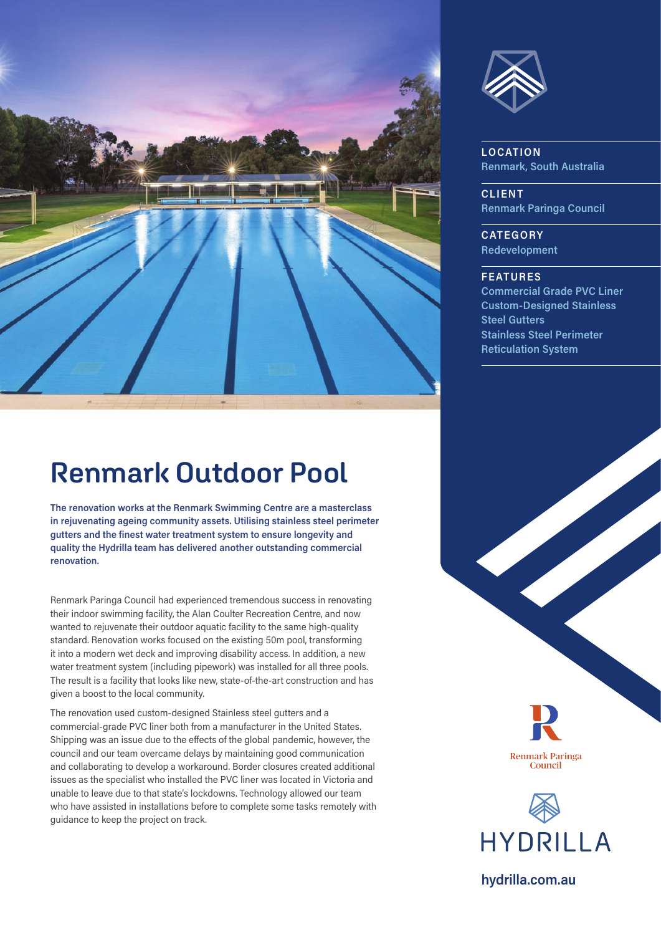

## **Renmark Outdoor Pool**

**The renovation works at the Renmark Swimming Centre are a masterclass in rejuvenating ageing community assets. Utilising stainless steel perimeter gutters and the finest water treatment system to ensure longevity and quality the Hydrilla team has delivered another outstanding commercial renovation.**

Renmark Paringa Council had experienced tremendous success in renovating their indoor swimming facility, the Alan Coulter Recreation Centre, and now wanted to rejuvenate their outdoor aquatic facility to the same high-quality standard. Renovation works focused on the existing 50m pool, transforming it into a modern wet deck and improving disability access. In addition, a new water treatment system (including pipework) was installed for all three pools. The result is a facility that looks like new, state-of-the-art construction and has given a boost to the local community.

The renovation used custom-designed Stainless steel gutters and a commercial-grade PVC liner both from a manufacturer in the United States. Shipping was an issue due to the effects of the global pandemic, however, the council and our team overcame delays by maintaining good communication and collaborating to develop a workaround. Border closures created additional issues as the specialist who installed the PVC liner was located in Victoria and unable to leave due to that state's lockdowns. Technology allowed our team who have assisted in installations before to complete some tasks remotely with guidance to keep the project on track.



**LOCATION Renmark, South Australia** 

**CLIENT Renmark Paringa Council** 

**CATEGORY Redevelopment** 

## **FEATURES**

**Commercial Grade PVC Liner Custom-Designed Stainless Steel Gutters Stainless Steel Perimeter Reticulation System**





**hydrilla.com.au**